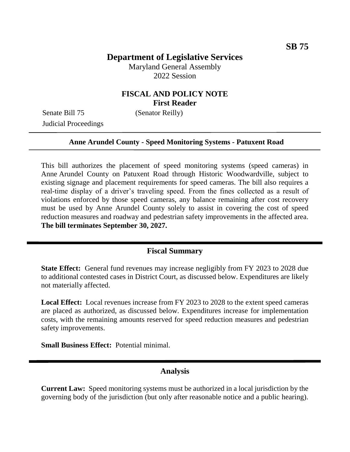# **Department of Legislative Services**

Maryland General Assembly 2022 Session

### **FISCAL AND POLICY NOTE First Reader**

Senate Bill 75 (Senator Reilly) Judicial Proceedings

#### **Anne Arundel County - Speed Monitoring Systems - Patuxent Road**

This bill authorizes the placement of speed monitoring systems (speed cameras) in Anne Arundel County on Patuxent Road through Historic Woodwardville, subject to existing signage and placement requirements for speed cameras. The bill also requires a real-time display of a driver's traveling speed. From the fines collected as a result of violations enforced by those speed cameras, any balance remaining after cost recovery must be used by Anne Arundel County solely to assist in covering the cost of speed reduction measures and roadway and pedestrian safety improvements in the affected area. **The bill terminates September 30, 2027.**

### **Fiscal Summary**

**State Effect:** General fund revenues may increase negligibly from FY 2023 to 2028 due to additional contested cases in District Court, as discussed below. Expenditures are likely not materially affected.

**Local Effect:** Local revenues increase from FY 2023 to 2028 to the extent speed cameras are placed as authorized, as discussed below. Expenditures increase for implementation costs, with the remaining amounts reserved for speed reduction measures and pedestrian safety improvements.

**Small Business Effect:** Potential minimal.

### **Analysis**

**Current Law:** Speed monitoring systems must be authorized in a local jurisdiction by the governing body of the jurisdiction (but only after reasonable notice and a public hearing).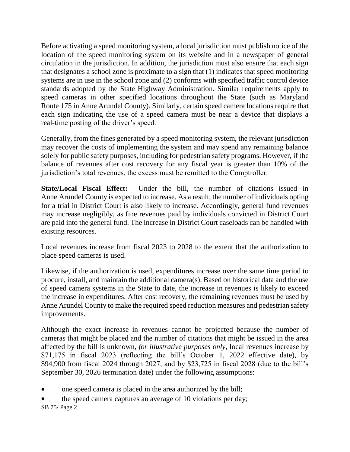Before activating a speed monitoring system, a local jurisdiction must publish notice of the location of the speed monitoring system on its website and in a newspaper of general circulation in the jurisdiction. In addition, the jurisdiction must also ensure that each sign that designates a school zone is proximate to a sign that (1) indicates that speed monitoring systems are in use in the school zone and (2) conforms with specified traffic control device standards adopted by the State Highway Administration. Similar requirements apply to speed cameras in other specified locations throughout the State (such as Maryland Route 175 in Anne Arundel County). Similarly, certain speed camera locations require that each sign indicating the use of a speed camera must be near a device that displays a real-time posting of the driver's speed.

Generally, from the fines generated by a speed monitoring system, the relevant jurisdiction may recover the costs of implementing the system and may spend any remaining balance solely for public safety purposes, including for pedestrian safety programs. However, if the balance of revenues after cost recovery for any fiscal year is greater than 10% of the jurisdiction's total revenues, the excess must be remitted to the Comptroller.

**State/Local Fiscal Effect:** Under the bill, the number of citations issued in Anne Arundel County is expected to increase. As a result, the number of individuals opting for a trial in District Court is also likely to increase. Accordingly, general fund revenues may increase negligibly, as fine revenues paid by individuals convicted in District Court are paid into the general fund. The increase in District Court caseloads can be handled with existing resources.

Local revenues increase from fiscal 2023 to 2028 to the extent that the authorization to place speed cameras is used.

Likewise, if the authorization is used, expenditures increase over the same time period to procure, install, and maintain the additional camera(s). Based on historical data and the use of speed camera systems in the State to date, the increase in revenues is likely to exceed the increase in expenditures. After cost recovery, the remaining revenues must be used by Anne Arundel County to make the required speed reduction measures and pedestrian safety improvements.

Although the exact increase in revenues cannot be projected because the number of cameras that might be placed and the number of citations that might be issued in the area affected by the bill is unknown, *for illustrative purposes only*, local revenues increase by \$71,175 in fiscal 2023 (reflecting the bill's October 1, 2022 effective date), by \$94,900 from fiscal 2024 through 2027, and by \$23,725 in fiscal 2028 (due to the bill's September 30, 2026 termination date) under the following assumptions:

- one speed camera is placed in the area authorized by the bill;
- the speed camera captures an average of 10 violations per day;

SB 75/ Page 2